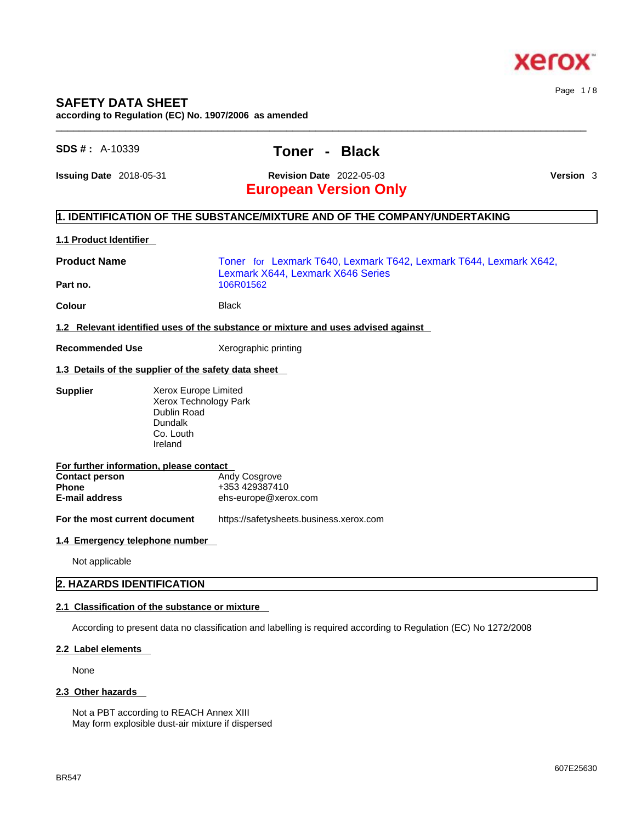

# **SAFETY DATA SHEET**

**according to Regulation (EC) No. 1907/2006 as amended** 

# **SDS # :** A-10339 **Toner - Black**

 $\_$  ,  $\_$  ,  $\_$  ,  $\_$  ,  $\_$  ,  $\_$  ,  $\_$  ,  $\_$  ,  $\_$  ,  $\_$  ,  $\_$  ,  $\_$  ,  $\_$  ,  $\_$  ,  $\_$  ,  $\_$  ,  $\_$  ,  $\_$  ,  $\_$  ,  $\_$  ,  $\_$  ,  $\_$  ,  $\_$  ,  $\_$  ,  $\_$  ,  $\_$  ,  $\_$  ,  $\_$  ,  $\_$  ,  $\_$  ,  $\_$  ,  $\_$  ,  $\_$  ,  $\_$  ,  $\_$  ,  $\_$  ,  $\_$  ,

**Issuing Date** 2018-05-31 **Revision Date** 2022-05-03 **Version** 3

Page 1 / 8

# **European Version Only**

# **1. IDENTIFICATION OF THE SUBSTANCE/MIXTURE AND OF THE COMPANY/UNDERTAKING**

#### **1.1 Product Identifier**

| <b>Product Name</b>                                                                                | Toner for Lexmark T640, Lexmark T642, Lexmark T644, Lexmark X642,<br>Lexmark X644, Lexmark X646 Series |  |
|----------------------------------------------------------------------------------------------------|--------------------------------------------------------------------------------------------------------|--|
| Part no.                                                                                           | 106R01562                                                                                              |  |
| <b>Colour</b>                                                                                      | <b>Black</b>                                                                                           |  |
|                                                                                                    | 1.2 Relevant identified uses of the substance or mixture and uses advised against                      |  |
| <b>Recommended Use</b>                                                                             | Xerographic printing                                                                                   |  |
|                                                                                                    | 1.3 Details of the supplier of the safety data sheet                                                   |  |
| <b>Supplier</b>                                                                                    | Xerox Europe Limited<br>Xerox Technology Park<br>Dublin Road<br>Dundalk<br>Co. Louth<br>Ireland        |  |
| For further information, please contact<br><b>Contact person</b><br><b>Phone</b><br>E-mail address | Andy Cosgrove<br>+353 429387410<br>ehs-europe@xerox.com                                                |  |
| For the most current document                                                                      | https://safetysheets.business.xerox.com                                                                |  |
| 1.4 Emergency telephone number                                                                     |                                                                                                        |  |

Not applicable

#### **2. HAZARDS IDENTIFICATION**

#### **2.1 Classification of the substance or mixture**

According to present data no classification and labelling is required according to Regulation (EC) No 1272/2008

#### **2.2 Label elements**

None

#### **2.3 Other hazards**

Not a PBT according to REACH Annex XIII May form explosible dust-air mixture if dispersed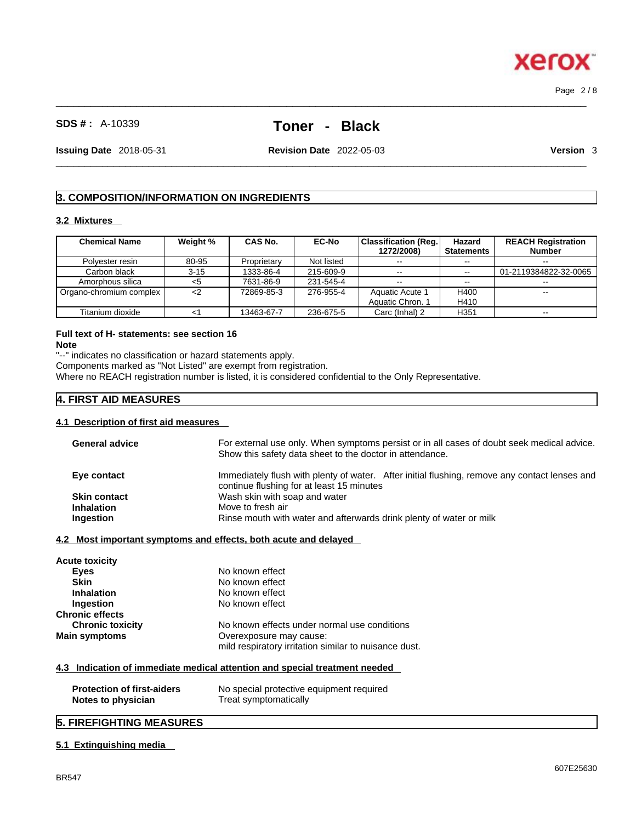$\_$  ,  $\_$  ,  $\_$  ,  $\_$  ,  $\_$  ,  $\_$  ,  $\_$  ,  $\_$  ,  $\_$  ,  $\_$  ,  $\_$  ,  $\_$  ,  $\_$  ,  $\_$  ,  $\_$  ,  $\_$  ,  $\_$  ,  $\_$  ,  $\_$  ,  $\_$  ,  $\_$  ,  $\_$  ,  $\_$  ,  $\_$  ,  $\_$  ,  $\_$  ,  $\_$  ,  $\_$  ,  $\_$  ,  $\_$  ,  $\_$  ,  $\_$  ,  $\_$  ,  $\_$  ,  $\_$  ,  $\_$  ,  $\_$  , Page 2 / 8

# **SDS # :** A-10339 **Toner - Black**

**Issuing Date** 2018-05-31 **Revision Date** 2022-05-03 **Version** 3

 $\_$  ,  $\_$  ,  $\_$  ,  $\_$  ,  $\_$  ,  $\_$  ,  $\_$  ,  $\_$  ,  $\_$  ,  $\_$  ,  $\_$  ,  $\_$  ,  $\_$  ,  $\_$  ,  $\_$  ,  $\_$  ,  $\_$  ,  $\_$  ,  $\_$  ,  $\_$  ,  $\_$  ,  $\_$  ,  $\_$  ,  $\_$  ,  $\_$  ,  $\_$  ,  $\_$  ,  $\_$  ,  $\_$  ,  $\_$  ,  $\_$  ,  $\_$  ,  $\_$  ,  $\_$  ,  $\_$  ,  $\_$  ,  $\_$  ,

# **3. COMPOSITION/INFORMATION ON INGREDIENTS**

#### **3.2 Mixtures**

| <b>Chemical Name</b>    | Weight % | CAS No.     | <b>EC-No</b> | <b>Classification (Reg.</b><br>1272/2008) | Hazard<br><b>Statements</b> | <b>REACH Registration</b><br><b>Number</b> |
|-------------------------|----------|-------------|--------------|-------------------------------------------|-----------------------------|--------------------------------------------|
| Polvester resin         | 80-95    | Proprietary | Not listed   | $\sim$ $\sim$                             |                             |                                            |
| Carbon black            | $3 - 15$ | 1333-86-4   | 215-609-9    | $- -$                                     | $\sim$ $\sim$               | 01-2119384822-32-0065                      |
| Amorphous silica        | <5       | 7631-86-9   | 231-545-4    | $\sim$ $\sim$                             | $- -$                       |                                            |
| Organo-chromium complex | $<$ 2    | 72869-85-3  | 276-955-4    | Aquatic Acute 1                           | H400                        | --                                         |
|                         |          |             |              | Aquatic Chron. 1                          | H410                        |                                            |
| Titanium dioxide        | د -      | 13463-67-7  | 236-675-5    | Carc (Inhal) 2                            | H <sub>351</sub>            | $- -$                                      |

#### **Full text of H- statements: see section 16 Note**

"--" indicates no classification or hazard statements apply.

Components marked as "Not Listed" are exempt from registration.

Where no REACH registration number is listed, it is considered confidential to the Only Representative.

# **4. FIRST AID MEASURES**

#### **4.1 Description of first aid measures**

| <b>General advice</b>                                   | For external use only. When symptoms persist or in all cases of doubt seek medical advice.<br>Show this safety data sheet to the doctor in attendance. |
|---------------------------------------------------------|--------------------------------------------------------------------------------------------------------------------------------------------------------|
| Eye contact                                             | Immediately flush with plenty of water. After initial flushing, remove any contact lenses and<br>continue flushing for at least 15 minutes             |
| <b>Skin contact</b>                                     | Wash skin with soap and water                                                                                                                          |
| <b>Inhalation</b>                                       | Move to fresh air                                                                                                                                      |
| Ingestion                                               | Rinse mouth with water and afterwards drink plenty of water or milk                                                                                    |
|                                                         | 4.2 Most important symptoms and effects, both acute and delayed                                                                                        |
| Acute toxicity                                          |                                                                                                                                                        |
| Eyes                                                    | No known effect                                                                                                                                        |
| <b>Skin</b>                                             | No known effect                                                                                                                                        |
| <b>Inhalation</b>                                       | No known effect                                                                                                                                        |
| Ingestion                                               | No known effect                                                                                                                                        |
| <b>Chronic effects</b>                                  |                                                                                                                                                        |
| <b>Chronic toxicity</b>                                 | No known effects under normal use conditions                                                                                                           |
| Main symptoms                                           | Overexposure may cause:                                                                                                                                |
|                                                         | mild respiratory irritation similar to nuisance dust.                                                                                                  |
|                                                         | 4.3 Indication of immediate medical attention and special treatment needed                                                                             |
| <b>Protection of first-aiders</b><br>Notes to physician | No special protective equipment required<br>Treat symptomatically                                                                                      |

# **5. FIREFIGHTING MEASURES**

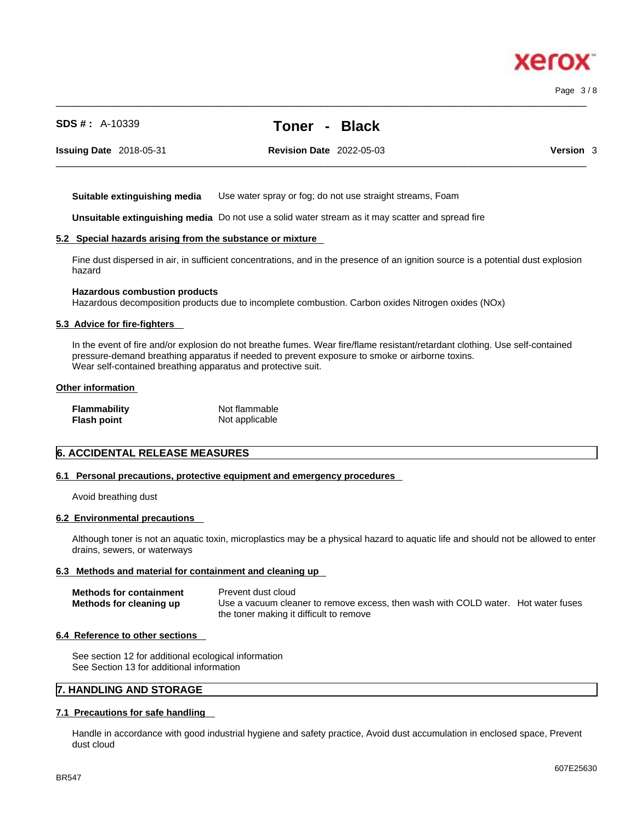**SDS # :** A-10339 **Toner - Black**

**Issuing Date** 2018-05-31 **Revision Date** 2022-05-03 **Version** 3

**Suitable extinguishing media** Use water spray or fog; do not use straight streams, Foam

**Unsuitable extinguishing media** Do not use a solid water stream as it may scatterand spread fire

#### **5.2 Special hazards arising from the substance or mixture**

Fine dust dispersed in air, in sufficient concentrations, and in the presence of an ignition source is a potential dust explosion hazard

 $\_$  ,  $\_$  ,  $\_$  ,  $\_$  ,  $\_$  ,  $\_$  ,  $\_$  ,  $\_$  ,  $\_$  ,  $\_$  ,  $\_$  ,  $\_$  ,  $\_$  ,  $\_$  ,  $\_$  ,  $\_$  ,  $\_$  ,  $\_$  ,  $\_$  ,  $\_$  ,  $\_$  ,  $\_$  ,  $\_$  ,  $\_$  ,  $\_$  ,  $\_$  ,  $\_$  ,  $\_$  ,  $\_$  ,  $\_$  ,  $\_$  ,  $\_$  ,  $\_$  ,  $\_$  ,  $\_$  ,  $\_$  ,  $\_$  ,

#### **Hazardous combustion products**

Hazardous decomposition products due to incomplete combustion. Carbon oxides Nitrogen oxides (NOx)

#### **5.3 Advice for fire-fighters**

In the event of fire and/or explosion do not breathe fumes. Wear fire/flame resistant/retardant clothing. Use self-contained pressure-demand breathing apparatus if needed to prevent exposure to smoke or airborne toxins. Wear self-contained breathing apparatus and protective suit.

#### **Other information**

| Flammability | Not flammable  |
|--------------|----------------|
| Flash point  | Not applicable |

#### **6. ACCIDENTAL RELEASE MEASURES**

### **6.1 Personal precautions, protective equipment and emergency procedures**

Avoid breathing dust

#### **6.2 Environmental precautions**

Although toner is not an aquatic toxin, microplastics may be a physical hazard to aquatic life and should not be allowed to enter drains, sewers, or waterways

#### **6.3 Methods and material for containment and cleaning up**

| <b>Methods for containment</b> | Prevent dust cloud                                                                |  |
|--------------------------------|-----------------------------------------------------------------------------------|--|
| Methods for cleaning up        | Use a vacuum cleaner to remove excess, then wash with COLD water. Hot water fuses |  |
|                                | the toner making it difficult to remove                                           |  |

#### **6.4 Reference to other sections**

See section 12 for additional ecological information See Section 13 for additional information

# **7. HANDLING AND STORAGE**

#### **7.1 Precautions for safe handling**

Handle in accordance with good industrial hygiene and safety practice, Avoid dust accumulation in enclosed space, Prevent dust cloud

# xerc

 $\_$  ,  $\_$  ,  $\_$  ,  $\_$  ,  $\_$  ,  $\_$  ,  $\_$  ,  $\_$  ,  $\_$  ,  $\_$  ,  $\_$  ,  $\_$  ,  $\_$  ,  $\_$  ,  $\_$  ,  $\_$  ,  $\_$  ,  $\_$  ,  $\_$  ,  $\_$  ,  $\_$  ,  $\_$  ,  $\_$  ,  $\_$  ,  $\_$  ,  $\_$  ,  $\_$  ,  $\_$  ,  $\_$  ,  $\_$  ,  $\_$  ,  $\_$  ,  $\_$  ,  $\_$  ,  $\_$  ,  $\_$  ,  $\_$  , Page 3 / 8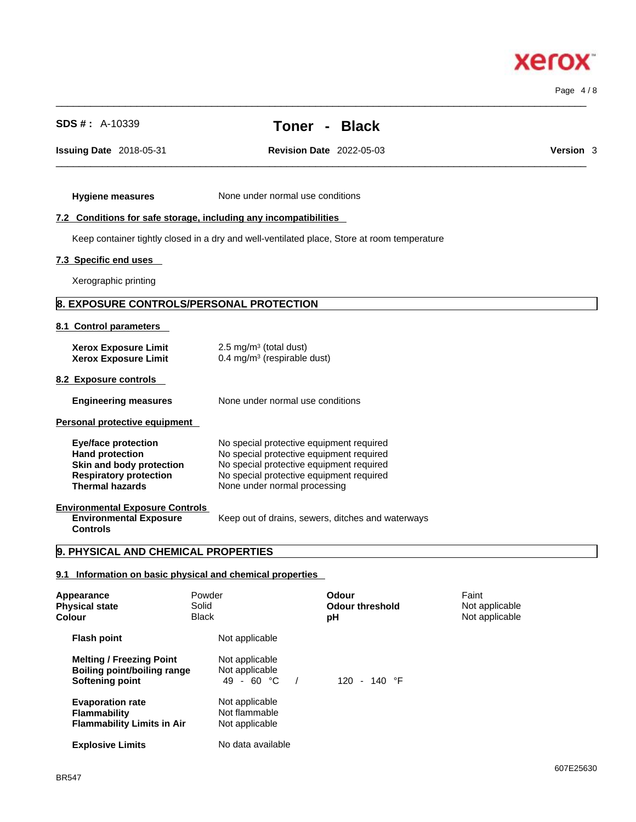Page 4 / 8

**Xerox** 

| <b>Hygiene measures</b>                                                                                                                     | None under normal use conditions                                                                                                                                                                             |
|---------------------------------------------------------------------------------------------------------------------------------------------|--------------------------------------------------------------------------------------------------------------------------------------------------------------------------------------------------------------|
| 7.2 Conditions for safe storage, including any incompatibilities                                                                            |                                                                                                                                                                                                              |
|                                                                                                                                             | Keep container tightly closed in a dry and well-ventilated place, Store at room temperature                                                                                                                  |
|                                                                                                                                             |                                                                                                                                                                                                              |
| 7.3 Specific end uses                                                                                                                       |                                                                                                                                                                                                              |
| Xerographic printing                                                                                                                        |                                                                                                                                                                                                              |
| 8. EXPOSURE CONTROLS/PERSONAL PROTECTION                                                                                                    |                                                                                                                                                                                                              |
| 8.1 Control parameters                                                                                                                      |                                                                                                                                                                                                              |
| <b>Xerox Exposure Limit</b><br><b>Xerox Exposure Limit</b>                                                                                  | 2.5 mg/m $3$ (total dust)<br>0.4 mg/m <sup>3</sup> (respirable dust)                                                                                                                                         |
| 8.2 Exposure controls                                                                                                                       |                                                                                                                                                                                                              |
| <b>Engineering measures</b>                                                                                                                 | None under normal use conditions                                                                                                                                                                             |
| Personal protective equipment                                                                                                               |                                                                                                                                                                                                              |
| <b>Eye/face protection</b><br><b>Hand protection</b><br>Skin and body protection<br><b>Respiratory protection</b><br><b>Thermal hazards</b> | No special protective equipment required<br>No special protective equipment required<br>No special protective equipment required<br>No special protective equipment required<br>None under normal processing |
| <b>Environmental Exposure Controls</b><br><b>Environmental Exposure</b><br><b>Controls</b>                                                  | Keep out of drains, sewers, ditches and waterways                                                                                                                                                            |
| 9. PHYSICAL AND CHEMICAL PROPERTIES                                                                                                         |                                                                                                                                                                                                              |
| 9.1 Information on basic physical and chemical properties                                                                                   |                                                                                                                                                                                                              |
| Appearance                                                                                                                                  | Powder<br>Faint<br><b>Odour</b>                                                                                                                                                                              |

**Issuing Date** 2018-05-31 **Revision Date** 2022-05-03 **Version** 3

 $\_$  ,  $\_$  ,  $\_$  ,  $\_$  ,  $\_$  ,  $\_$  ,  $\_$  ,  $\_$  ,  $\_$  ,  $\_$  ,  $\_$  ,  $\_$  ,  $\_$  ,  $\_$  ,  $\_$  ,  $\_$  ,  $\_$  ,  $\_$  ,  $\_$  ,  $\_$  ,  $\_$  ,  $\_$  ,  $\_$  ,  $\_$  ,  $\_$  ,  $\_$  ,  $\_$  ,  $\_$  ,  $\_$  ,  $\_$  ,  $\_$  ,  $\_$  ,  $\_$  ,  $\_$  ,  $\_$  ,  $\_$  ,  $\_$  ,

| Appearance<br><b>Physical state</b><br>Colour                                                   | Powder<br>Solid<br><b>Black</b>                   | Odour<br><b>Odour threshold</b><br>рH | Faint<br>Not applicable<br>Not applicable |
|-------------------------------------------------------------------------------------------------|---------------------------------------------------|---------------------------------------|-------------------------------------------|
| <b>Flash point</b>                                                                              | Not applicable                                    |                                       |                                           |
| <b>Melting / Freezing Point</b><br><b>Boiling point/boiling range</b><br><b>Softening point</b> | Not applicable<br>Not applicable<br>$49 - 60 °C$  | 120 - 140 $\degree$ F                 |                                           |
| <b>Evaporation rate</b><br><b>Flammability</b><br><b>Flammability Limits in Air</b>             | Not applicable<br>Not flammable<br>Not applicable |                                       |                                           |
| <b>Explosive Limits</b>                                                                         | No data available                                 |                                       |                                           |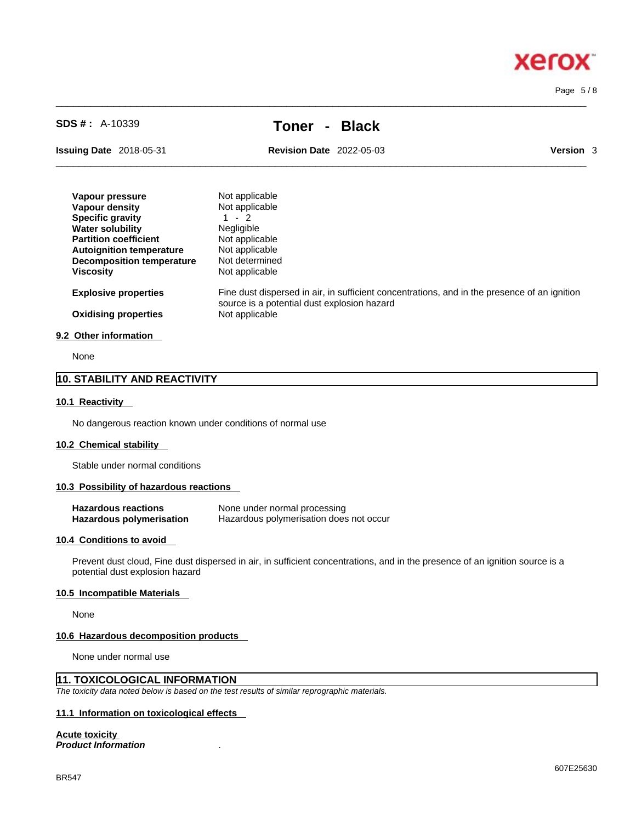x

**Xero** 

# **SDS # :** A-10339 **Toner - Black**

 $\_$  ,  $\_$  ,  $\_$  ,  $\_$  ,  $\_$  ,  $\_$  ,  $\_$  ,  $\_$  ,  $\_$  ,  $\_$  ,  $\_$  ,  $\_$  ,  $\_$  ,  $\_$  ,  $\_$  ,  $\_$  ,  $\_$  ,  $\_$  ,  $\_$  ,  $\_$  ,  $\_$  ,  $\_$  ,  $\_$  ,  $\_$  ,  $\_$  ,  $\_$  ,  $\_$  ,  $\_$  ,  $\_$  ,  $\_$  ,  $\_$  ,  $\_$  ,  $\_$  ,  $\_$  ,  $\_$  ,  $\_$  ,  $\_$  ,

**Issuing Date** 2018-05-31 **Revision Date** 2022-05-03

 $\_$  ,  $\_$  ,  $\_$  ,  $\_$  ,  $\_$  ,  $\_$  ,  $\_$  ,  $\_$  ,  $\_$  ,  $\_$  ,  $\_$  ,  $\_$  ,  $\_$  ,  $\_$  ,  $\_$  ,  $\_$  ,  $\_$  ,  $\_$  ,  $\_$  ,  $\_$  ,  $\_$  ,  $\_$  ,  $\_$  ,  $\_$  ,  $\_$  ,  $\_$  ,  $\_$  ,  $\_$  ,  $\_$  ,  $\_$  ,  $\_$  ,  $\_$  ,  $\_$  ,  $\_$  ,  $\_$  ,  $\_$  ,  $\_$  ,

| <b>Version</b> | 3 |
|----------------|---|
|----------------|---|

| Vapour pressure                  | Not applicable                                                                                                                              |
|----------------------------------|---------------------------------------------------------------------------------------------------------------------------------------------|
| Vapour density                   | Not applicable                                                                                                                              |
| <b>Specific gravity</b>          | $1 - 2$                                                                                                                                     |
| <b>Water solubility</b>          | <b>Negligible</b>                                                                                                                           |
| <b>Partition coefficient</b>     | Not applicable                                                                                                                              |
| <b>Autoignition temperature</b>  | Not applicable                                                                                                                              |
| <b>Decomposition temperature</b> | Not determined                                                                                                                              |
| <b>Viscosity</b>                 | Not applicable                                                                                                                              |
| <b>Explosive properties</b>      | Fine dust dispersed in air, in sufficient concentrations, and in the presence of an ignition<br>source is a potential dust explosion hazard |
| <b>Oxidising properties</b>      | Not applicable                                                                                                                              |
| 9.2 Other information            |                                                                                                                                             |

None

#### **10. STABILITY AND REACTIVITY**

#### **10.1 Reactivity**

No dangerous reaction known under conditions of normal use

#### **10.2 Chemical stability**

Stable under normal conditions

#### **10.3 Possibility of hazardous reactions**

| <b>Hazardous reactions</b> | None under normal processing            |
|----------------------------|-----------------------------------------|
| Hazardous polymerisation   | Hazardous polymerisation does not occur |

#### **10.4 Conditions to avoid**

Prevent dust cloud, Fine dust dispersed in air, in sufficient concentrations, and in the presence of an ignition source is a potential dust explosion hazard

#### **10.5 Incompatible Materials**

None

#### **10.6 Hazardous decomposition products**

None under normal use

# **11. TOXICOLOGICAL INFORMATION**

*The toxicity data noted below is based on the test results of similar reprographic materials.* 

# **11.1 Information on toxicological effects**

#### **Acute toxicity**

*Product Information* .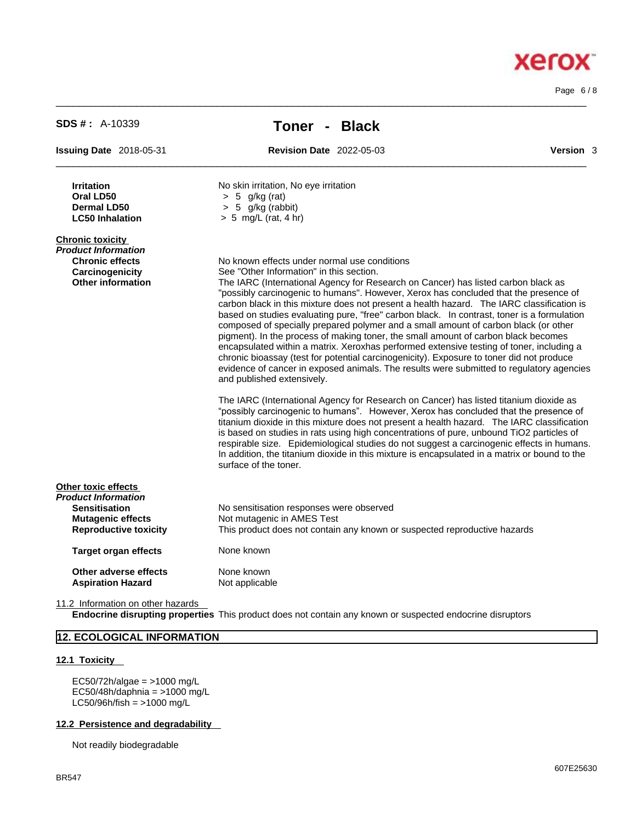Page 6 / 8

**Xerox** 

| <b>SDS #: A-10339</b>                                                                                                          | Toner - Black                                                                                                                                                                                                                                                                                                                                                                                                                                                                                                                                                                                                                                                                                                                                                                                                                                                                                                                                                                                                                                                                                                                                    |           |  |
|--------------------------------------------------------------------------------------------------------------------------------|--------------------------------------------------------------------------------------------------------------------------------------------------------------------------------------------------------------------------------------------------------------------------------------------------------------------------------------------------------------------------------------------------------------------------------------------------------------------------------------------------------------------------------------------------------------------------------------------------------------------------------------------------------------------------------------------------------------------------------------------------------------------------------------------------------------------------------------------------------------------------------------------------------------------------------------------------------------------------------------------------------------------------------------------------------------------------------------------------------------------------------------------------|-----------|--|
| <b>Issuing Date 2018-05-31</b>                                                                                                 | <b>Revision Date 2022-05-03</b>                                                                                                                                                                                                                                                                                                                                                                                                                                                                                                                                                                                                                                                                                                                                                                                                                                                                                                                                                                                                                                                                                                                  | Version 3 |  |
| <b>Irritation</b><br>Oral LD50<br><b>Dermal LD50</b><br><b>LC50 Inhalation</b>                                                 | No skin irritation, No eye irritation<br>$> 5$ g/kg (rat)<br>$> 5$ g/kg (rabbit)<br>$> 5$ mg/L (rat, 4 hr)                                                                                                                                                                                                                                                                                                                                                                                                                                                                                                                                                                                                                                                                                                                                                                                                                                                                                                                                                                                                                                       |           |  |
| <b>Chronic toxicity</b><br><b>Product Information</b><br><b>Chronic effects</b><br>Carcinogenicity<br><b>Other information</b> | No known effects under normal use conditions<br>See "Other Information" in this section.<br>The IARC (International Agency for Research on Cancer) has listed carbon black as<br>"possibly carcinogenic to humans". However, Xerox has concluded that the presence of<br>carbon black in this mixture does not present a health hazard. The IARC classification is<br>based on studies evaluating pure, "free" carbon black. In contrast, toner is a formulation<br>composed of specially prepared polymer and a small amount of carbon black (or other<br>pigment). In the process of making toner, the small amount of carbon black becomes<br>encapsulated within a matrix. Xeroxhas performed extensive testing of toner, including a<br>chronic bioassay (test for potential carcinogenicity). Exposure to toner did not produce<br>evidence of cancer in exposed animals. The results were submitted to regulatory agencies<br>and published extensively.<br>The IARC (International Agency for Research on Cancer) has listed titanium dioxide as<br>"possibly carcinogenic to humans". However, Xerox has concluded that the presence of |           |  |
|                                                                                                                                | titanium dioxide in this mixture does not present a health hazard. The IARC classification<br>is based on studies in rats using high concentrations of pure, unbound TiO2 particles of<br>respirable size. Epidemiological studies do not suggest a carcinogenic effects in humans.<br>In addition, the titanium dioxide in this mixture is encapsulated in a matrix or bound to the<br>surface of the toner.                                                                                                                                                                                                                                                                                                                                                                                                                                                                                                                                                                                                                                                                                                                                    |           |  |
| Other toxic effects<br><b>Product Information</b>                                                                              |                                                                                                                                                                                                                                                                                                                                                                                                                                                                                                                                                                                                                                                                                                                                                                                                                                                                                                                                                                                                                                                                                                                                                  |           |  |
| <b>Sensitisation</b><br><b>Mutagenic effects</b><br><b>Reproductive toxicity</b>                                               | No sensitisation responses were observed<br>Not mutagenic in AMES Test<br>This product does not contain any known or suspected reproductive hazards                                                                                                                                                                                                                                                                                                                                                                                                                                                                                                                                                                                                                                                                                                                                                                                                                                                                                                                                                                                              |           |  |
| <b>Target organ effects</b>                                                                                                    | None known                                                                                                                                                                                                                                                                                                                                                                                                                                                                                                                                                                                                                                                                                                                                                                                                                                                                                                                                                                                                                                                                                                                                       |           |  |
| Other adverse effects<br><b>Aspiration Hazard</b>                                                                              | None known<br>Not applicable                                                                                                                                                                                                                                                                                                                                                                                                                                                                                                                                                                                                                                                                                                                                                                                                                                                                                                                                                                                                                                                                                                                     |           |  |

 $\_$  ,  $\_$  ,  $\_$  ,  $\_$  ,  $\_$  ,  $\_$  ,  $\_$  ,  $\_$  ,  $\_$  ,  $\_$  ,  $\_$  ,  $\_$  ,  $\_$  ,  $\_$  ,  $\_$  ,  $\_$  ,  $\_$  ,  $\_$  ,  $\_$  ,  $\_$  ,  $\_$  ,  $\_$  ,  $\_$  ,  $\_$  ,  $\_$  ,  $\_$  ,  $\_$  ,  $\_$  ,  $\_$  ,  $\_$  ,  $\_$  ,  $\_$  ,  $\_$  ,  $\_$  ,  $\_$  ,  $\_$  ,  $\_$  ,

11.2 Information on other hazards

**Endocrine disrupting properties** This product does not contain any known or suspected endocrine disruptors

# **12. ECOLOGICAL INFORMATION**

# **12.1 Toxicity**

EC50/72h/algae = >1000 mg/L  $EC50/48h/daphnia =  $>1000 \text{ mg/L}$$  $LC50/96h/fish = >1000 mg/L$ 

#### **12.2 Persistence and degradability**

Not readily biodegradable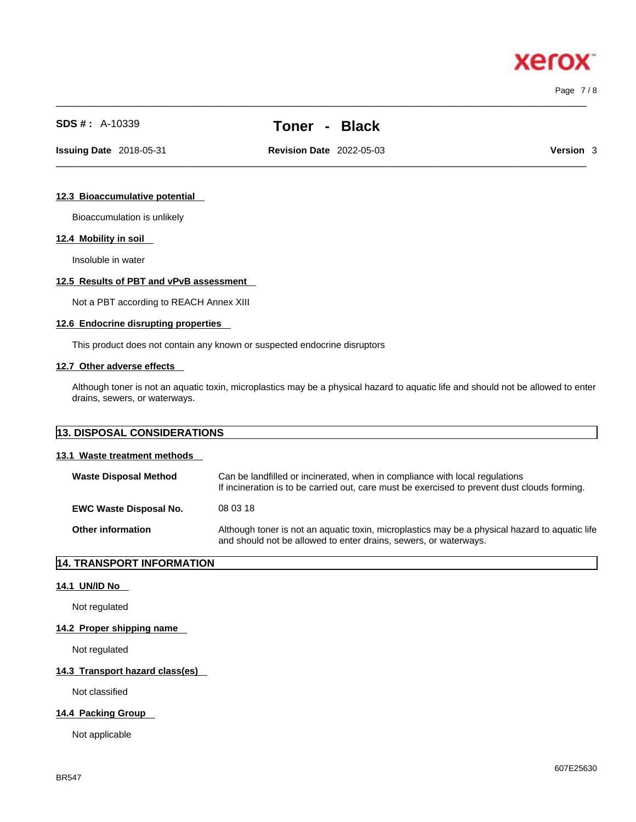Page 7 / 8

xero

# **SDS # :** A-10339 **Toner - Black**

 $\_$  ,  $\_$  ,  $\_$  ,  $\_$  ,  $\_$  ,  $\_$  ,  $\_$  ,  $\_$  ,  $\_$  ,  $\_$  ,  $\_$  ,  $\_$  ,  $\_$  ,  $\_$  ,  $\_$  ,  $\_$  ,  $\_$  ,  $\_$  ,  $\_$  ,  $\_$  ,  $\_$  ,  $\_$  ,  $\_$  ,  $\_$  ,  $\_$  ,  $\_$  ,  $\_$  ,  $\_$  ,  $\_$  ,  $\_$  ,  $\_$  ,  $\_$  ,  $\_$  ,  $\_$  ,  $\_$  ,  $\_$  ,  $\_$  ,

 $\_$  ,  $\_$  ,  $\_$  ,  $\_$  ,  $\_$  ,  $\_$  ,  $\_$  ,  $\_$  ,  $\_$  ,  $\_$  ,  $\_$  ,  $\_$  ,  $\_$  ,  $\_$  ,  $\_$  ,  $\_$  ,  $\_$  ,  $\_$  ,  $\_$  ,  $\_$  ,  $\_$  ,  $\_$  ,  $\_$  ,  $\_$  ,  $\_$  ,  $\_$  ,  $\_$  ,  $\_$  ,  $\_$  ,  $\_$  ,  $\_$  ,  $\_$  ,  $\_$  ,  $\_$  ,  $\_$  ,  $\_$  ,  $\_$  , **Issuing Date** 2018-05-31 **Revision Date** 2022-05-03 **Version** 3

#### **12.3 Bioaccumulative potential**

Bioaccumulation is unlikely

#### **12.4 Mobility in soil**

Insoluble in water

#### **12.5 Results of PBT and vPvB assessment**

Not a PBT according to REACH Annex XIII

#### **12.6 Endocrine disrupting properties**

This product does not contain any known or suspected endocrine disruptors

#### **12.7 Other adverse effects**

Although toner is not an aquatic toxin, microplastics may be a physical hazard to aquatic life and should not be allowed to enter drains, sewers, or waterways.

| 13. DISPOSAL CONSIDERATIONS   |                                                                                                                                                                             |  |
|-------------------------------|-----------------------------------------------------------------------------------------------------------------------------------------------------------------------------|--|
| 13.1 Waste treatment methods  |                                                                                                                                                                             |  |
| <b>Waste Disposal Method</b>  | Can be landfilled or incinerated, when in compliance with local regulations<br>If incineration is to be carried out, care must be exercised to prevent dust clouds forming. |  |
| <b>EWC Waste Disposal No.</b> | 08 03 18                                                                                                                                                                    |  |

**Other information** Although toner is not an aquatic toxin, microplastics may be a physical hazard to aquatic life and should not be allowed to enter drains, sewers, or waterways.

# **14. TRANSPORT INFORMATION**

#### **14.1 UN/ID No**

Not regulated

#### **14.2 Proper shipping name**

Not regulated

#### **14.3 Transport hazard class(es)**

Not classified

#### **14.4 Packing Group**

Not applicable